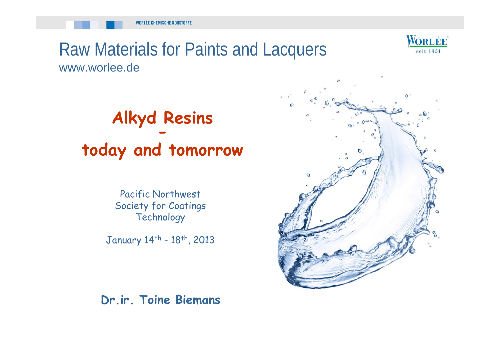

#### Raw Materials for Paints and Lacquers www.worlee.de

### **Alkyd Resins today and tomorrow**

Pacific Northwest Society for Coatings **Technology** 

January 14<sup>th</sup> - 18<sup>th</sup>, 2013

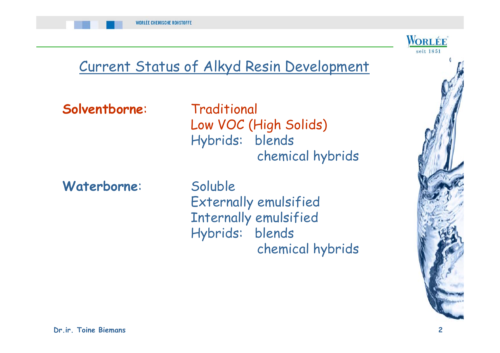

# Current Status of Alkyd Resin Development

**Solventborne**: Traditional

Low VOC (High Solids) Hybrids: blends chemical hybrids

**Waterborne**: Soluble

Externally emulsified Internally emulsified Hybrids: blends chemical hybrids

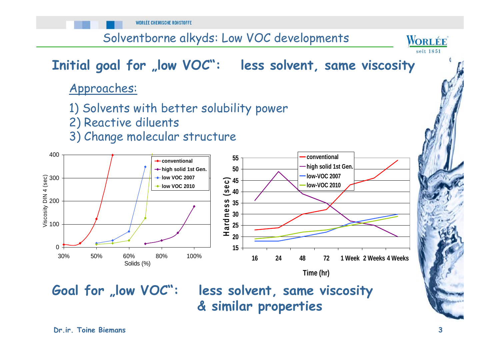**WORLÉE CHEMISCHE ROHSTOFFE** 

Solventborne alkyds: Low VOC developments

#### Initial goal for "low VOC": less solvent, same viscosity

Approaches:

- 1) Solvents with better solubility power
- 2) Reactive diluents
- 3) Change molecular structure



Goal for "low VOC": less solvent, same viscosity **& similar properties**

WORLÉE seit 1851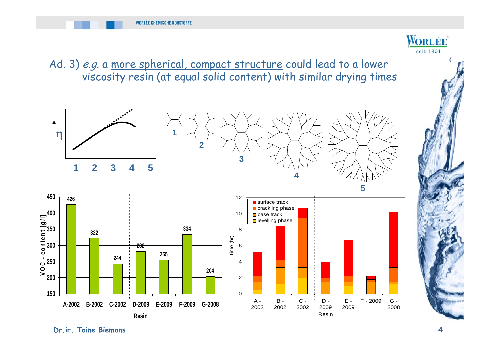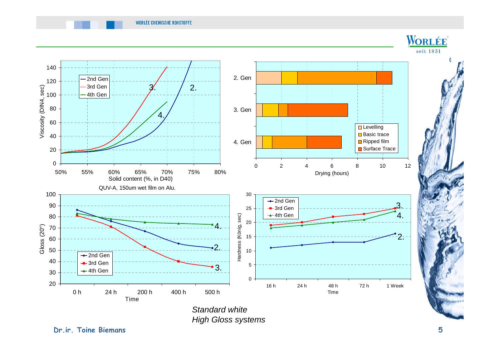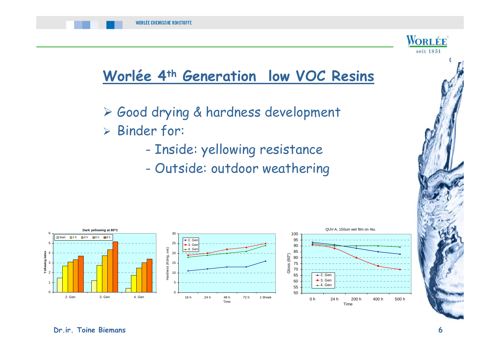



#### **Worlée 4th Generation low VOC Resins**

- Good drying & hardness development
- Binder for:
	- -- Inside: yellowing resistance
	- Outside: outdoor weathering

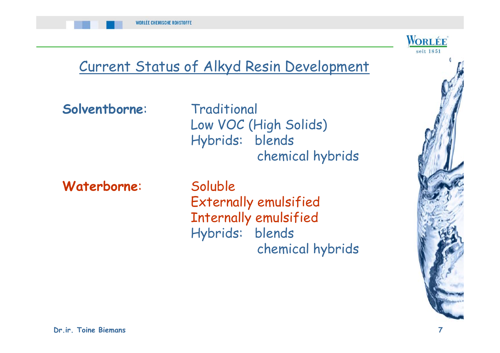

# Current Status of Alkyd Resin Development

**Solventborne**: Traditional

Low VOC (High Solids) Hybrids: blends chemical hybrids

**Waterborne**: Soluble

Externally emulsified Internally emulsified Hybrids: blends chemical hybrids

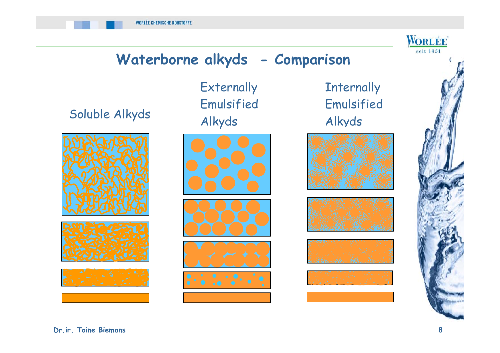

#### **Waterborne alkyds - Comparison**

Alkyds Soluble Alkyds



Externally Emulsified



**Internally** Emulsified Alkyds







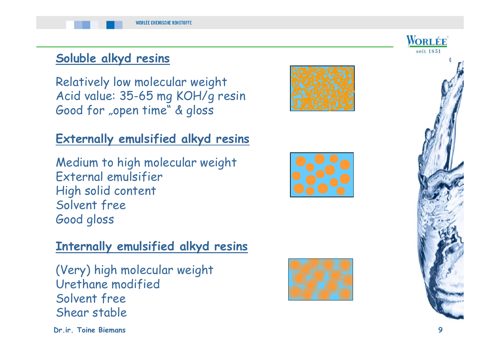#### **Soluble alkyd resins**

Relatively low molecular weight Acid value: 35-65 mg KOH/g resin Good for "open time" & gloss

#### **Externally emulsified alkyd resins**

Medium to high molecular weight External emulsifier High solid content Solvent free Good gloss

#### **Internally emulsified alkyd resins**

(Very) high molecular weight Urethane modified Solvent free Shear stable

**Dr.ir. Toine Biemans 9**









WORLÉE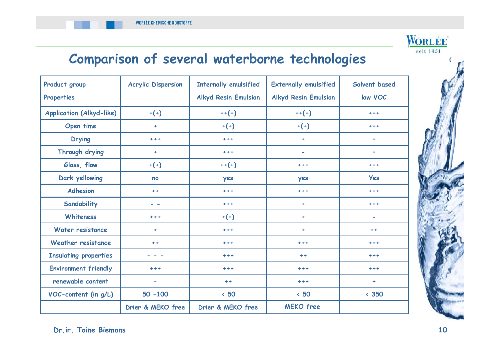

#### **Comparison of several waterborne technologies**

| Product group<br>Properties     | <b>Acrylic Dispersion</b> | <b>Internally emulsified</b><br><b>Alkyd Resin Emulsion</b> | <b>Externally emulsified</b><br><b>Alkyd Resin Emulsion</b> | Solvent based<br>low VOC                                                                              |
|---------------------------------|---------------------------|-------------------------------------------------------------|-------------------------------------------------------------|-------------------------------------------------------------------------------------------------------|
| <b>Application (Alkyd-like)</b> | $+(+)$                    | $++(+)$                                                     | $++(+)$                                                     | $***$                                                                                                 |
| Open time                       | ÷                         | $+(+)$                                                      | $+(+)$                                                      | $***$                                                                                                 |
| <b>Drying</b>                   | $+ + +$                   | $***$                                                       | $\ddot{\phantom{1}}$                                        | ÷                                                                                                     |
| Through drying                  | ٠                         | $***$                                                       | $\blacksquare$                                              | ٠                                                                                                     |
| Gloss, flow                     | $+(+)$                    | $++(+)$                                                     | $***$                                                       | $***$                                                                                                 |
| Dark yellowing                  | no                        | yes                                                         | yes                                                         | <b>Yes</b>                                                                                            |
| <b>Adhesion</b>                 | $+ +$                     | $***$                                                       | $***$                                                       | $***$                                                                                                 |
| Sandability                     | $ -$                      | $***$                                                       | ÷                                                           | $***$                                                                                                 |
| <b>Whiteness</b>                | $+ + +$                   | $+(+)$                                                      | ÷                                                           | $\hskip1.6pt\hskip1.6pt\hskip1.6pt\hskip1.6pt\hskip1.6pt\hskip1.6pt\hskip1.6pt\hskip1.6pt\hskip1.6pt$ |
| Water resistance                | ÷                         | $+ + +$                                                     | ÷                                                           | $+ +$                                                                                                 |
| <b>Weather resistance</b>       | $+ +$                     | $***$                                                       | $***$                                                       | $***$                                                                                                 |
| <b>Insulating properties</b>    |                           | $***$                                                       | $+ +$                                                       | $***$                                                                                                 |
| <b>Environment friendly</b>     | $***$                     | $***$                                                       | $***$                                                       | $***$                                                                                                 |
| renewable content               | $\blacksquare$            | $++$                                                        | $+ + +$                                                     | ٠                                                                                                     |
| VOC-content (in g/L)            | $50 - 100$                | $\cdot$ 50                                                  | $\cdot$ 50                                                  | $\cdot 350$                                                                                           |
|                                 | Drier & MEKO free         | Drier & MEKO free                                           | <b>MEKO</b> free                                            |                                                                                                       |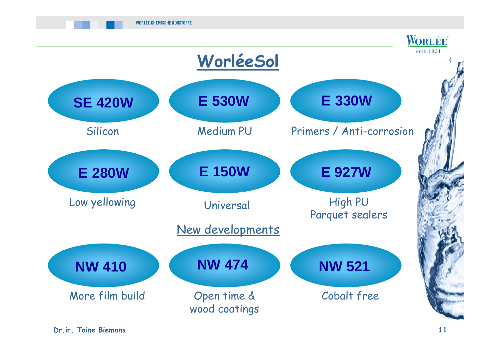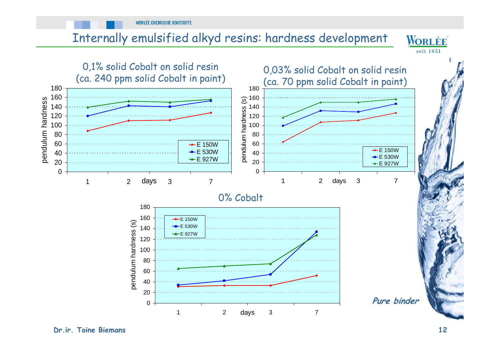**WORLÉE CHEMISCHE ROHSTOFFE** 

#### Internally emulsified alkyd resins: hardness development



**Dr.ir. Toine Biemans 12**

**WORLÉE**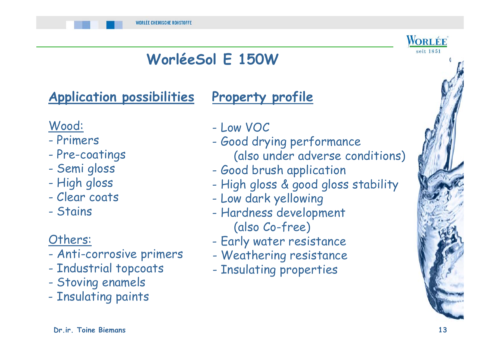# **WorléeSol E 150W**

# **Application possibilities**

#### **Property profile**

#### Wood:

- Primers
- -Pre-coatings
- -Semi gloss
- High gloss
- Clear coats
- Stains

#### Others:

- -Anti-corrosive primers
- -- Industrial topcoats
- -Stoving enamels
- Insulating paints
- Low VOC
- Good drying performance (also under adverse conditions)
- Good brush application
- High gloss & good gloss stability
- Low dark yellowing
- Hardness development (also Co-free)
- Early water resistance
- Weathering resistance
- Insulating properties

WORLÉE seit 1851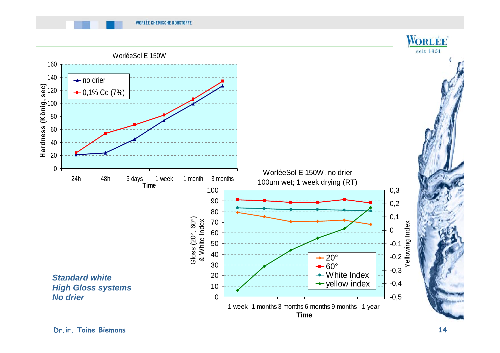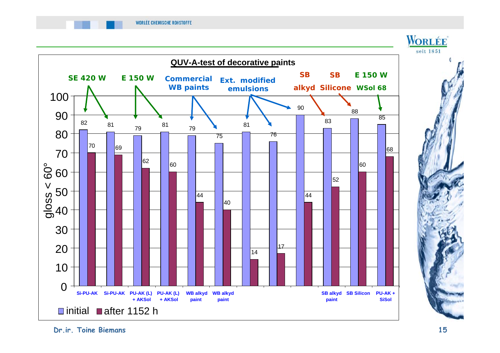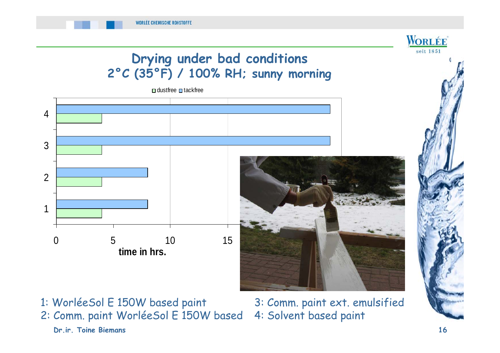# **Drying under bad conditions 2°C (35°F) / 100% RH; sunny morning** dustfree **□** tackfree



- **Dr.ir. Toine Biemans 16** 1: WorléeSol E 150W based paint 3: Comm. paint ext. emulsified 2: Comm. paint WorléeSol E 150W based 4: Solvent based paint
	-

**WORLÉE** seit 1851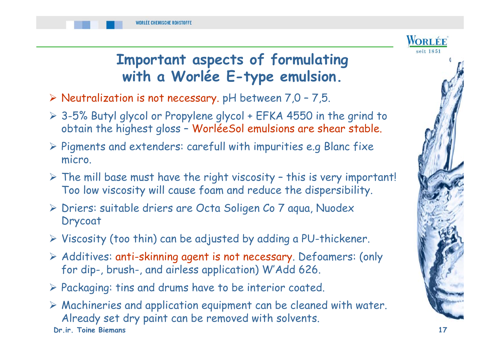

#### **Important aspects of formulating with a Worlée E-type emulsion.**

- $\triangleright$  Neutralization is not necessary. pH between 7,0 7,5.
- 3-5% Butyl glycol or Propylene glycol + EFKA 4550 in the grind to obtain the highest gloss – WorléeSol emulsions are shear stable.
- $\triangleright$  Pigments and extenders: carefull with impurities e.g Blanc fixe micro.
- $\triangleright$  The mill base must have the right viscosity this is very important! Too low viscosity will cause foam and reduce the dispersibility.
- Driers: suitable driers are Octa Soligen Co 7 aqua, Nuodex Drycoat
- $\triangleright$  Viscosity (too thin) can be adjusted by adding a PU-thickener.
- Additives: anti-skinning agent is not necessary. Defoamers: (only for dip-, brush-, and airless application) W'Add 626.
- $P$  Packaging: tins and drums have to be interior coated.
- **Dr.ir. Toine Biemans 17** Machineries and application equipment can be cleaned with water. Already set dry paint can be removed with solvents.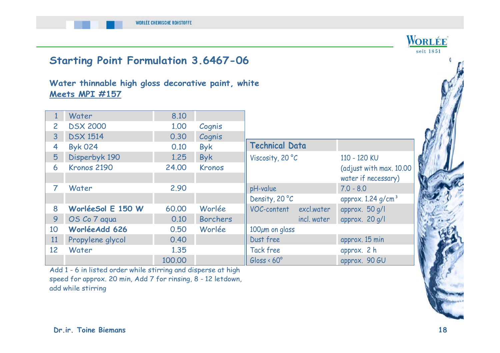

Tack free approx. 2 h Gloss < 60° approx. 90 GU

Add 1 - 6 in listed order while stirring and disperse at high speed for approx. 20 min, Add 7 for rinsing, 8 - 12 letdown, add while stirring

100.00

12 Water 1.35

seit 1851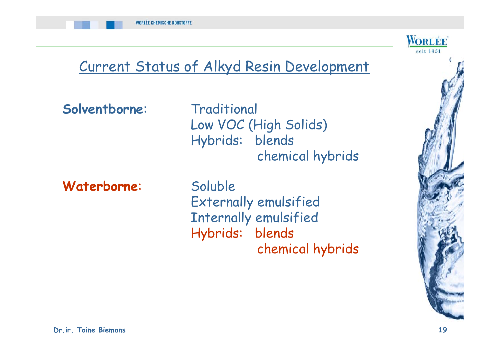

# Current Status of Alkyd Resin Development

**Solventborne**: Traditional

Low VOC (High Solids) Hybrids: blends chemical hybrids

Waterborne: Soluble

Externally emulsified Internally emulsified Hybrids: blends chemical hybrids

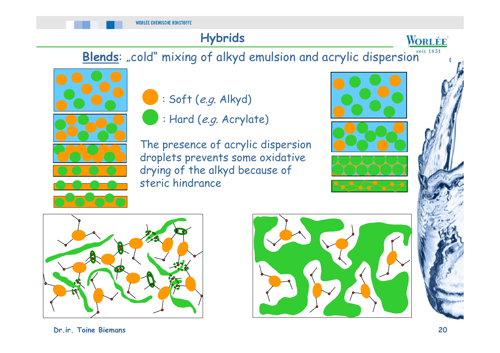#### **Hybrids**

Blends: "cold" mixing of alkyd emulsion and acrylic dispersion<sup>seit 1851</sup>





: Hard (e.g. Acrylate)

The presence of acrylic dispersion droplets prevents some oxidative drying of the alkyd because of steric hindrance







WORLÉE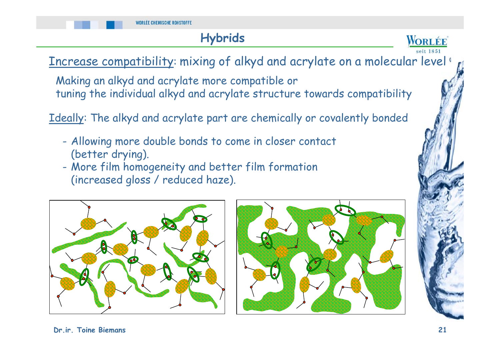#### **Hybrids**



Increase compatibility: mixing of alkyd and acrylate on a molecular level!

Making an alkyd and acrylate more compatible or tuning the individual alkyd and acrylate structure towards compatibility

Ideally: The alkyd and acrylate part are chemically or covalently bonded

- - Allowing more double bonds to come in closer contact (better drying).
- - More film homogeneity and better film formation (increased gloss / reduced haze).



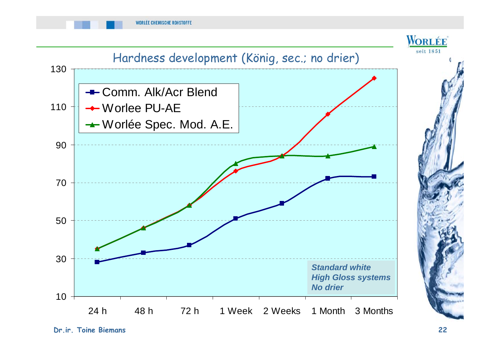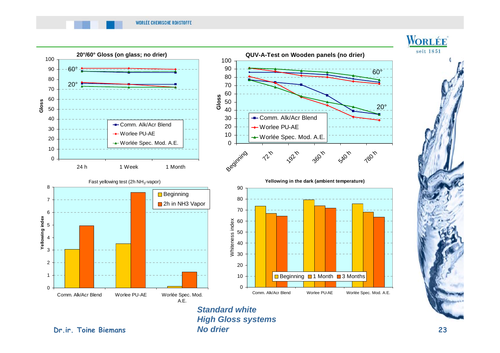

**Dr.ir. Toine Biemans 23** *Standard whiteHigh Gloss systems No drier*

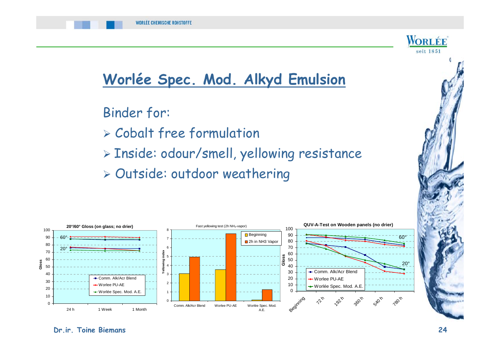



### **Worlée Spec. Mod. Alkyd Emulsion**

Binder for:

- Cobalt free formulation
- Inside: odour/smell, yellowing resistance
- Outside: outdoor weathering

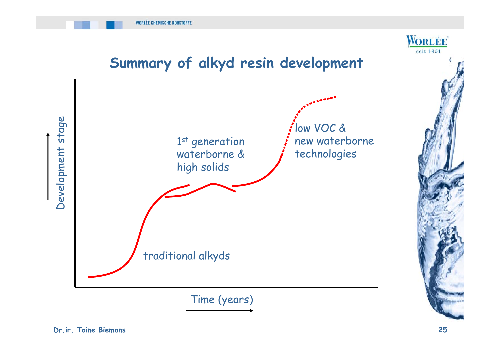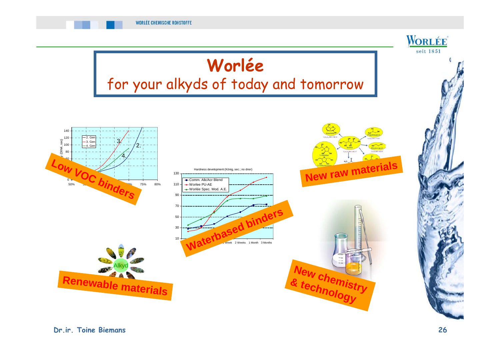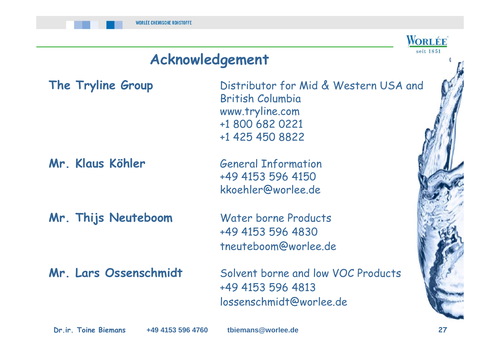#### **Acknowledgement**

#### **Mr. Thijs Neuteboom** Water borne Products

**The Tryline Group** Distributor for Mid & Western USA and British Columbia www.tryline.com +1 800 682 0221 +1 425 450 8822

**Mr. Klaus Köhler** General Information +49 4153 596 4150 kkoehler@worlee.de

> +49 4153 596 4830 tneuteboom@worlee.de

**Mr. Lars Ossenschmidt** Solvent borne and low VOC Products +49 4153 596 4813 lossenschmidt@worlee.de

**+49 4153 596 4760**

**Dr.ir. Toine Biemans 27 tbiemans@worlee.de**